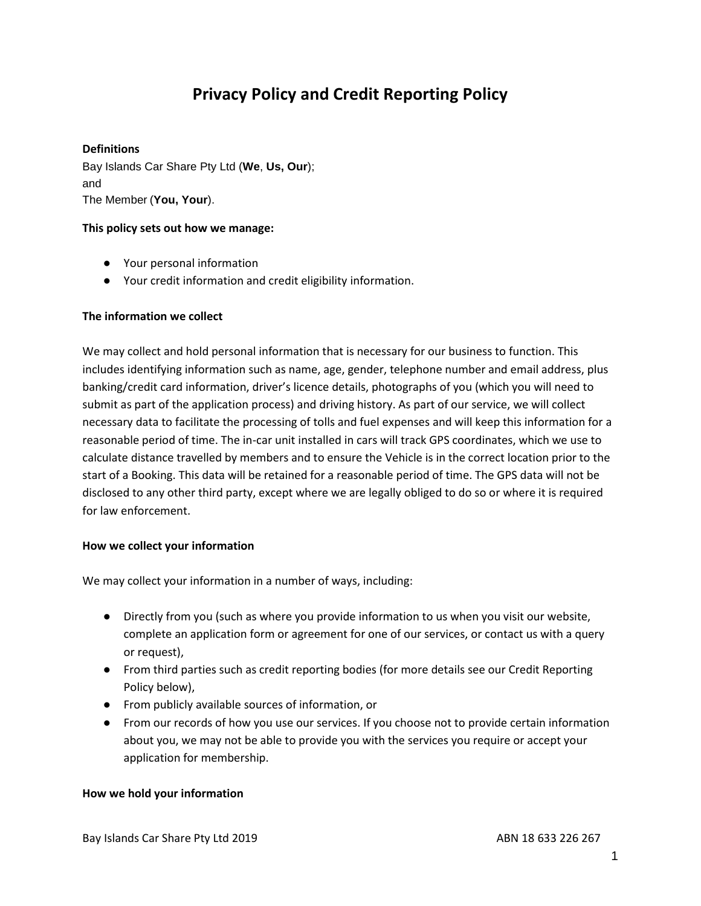# **Privacy Policy and Credit Reporting Policy**

#### **Definitions**

Bay Islands Car Share Pty Ltd (**We**, **Us, Our**); and The Member (**You, Your**).

#### **This policy sets out how we manage:**

- Your personal information
- Your credit information and credit eligibility information.

#### **The information we collect**

We may collect and hold personal information that is necessary for our business to function. This includes identifying information such as name, age, gender, telephone number and email address, plus banking/credit card information, driver's licence details, photographs of you (which you will need to submit as part of the application process) and driving history. As part of our service, we will collect necessary data to facilitate the processing of tolls and fuel expenses and will keep this information for a reasonable period of time. The in-car unit installed in cars will track GPS coordinates, which we use to calculate distance travelled by members and to ensure the Vehicle is in the correct location prior to the start of a Booking. This data will be retained for a reasonable period of time. The GPS data will not be disclosed to any other third party, except where we are legally obliged to do so or where it is required for law enforcement.

#### **How we collect your information**

We may collect your information in a number of ways, including:

- Directly from you (such as where you provide information to us when you visit our website, complete an application form or agreement for one of our services, or contact us with a query or request),
- From third parties such as credit reporting bodies (for more details see our Credit Reporting Policy below),
- From publicly available sources of information, or
- From our records of how you use our services. If you choose not to provide certain information about you, we may not be able to provide you with the services you require or accept your application for membership.

#### **How we hold your information**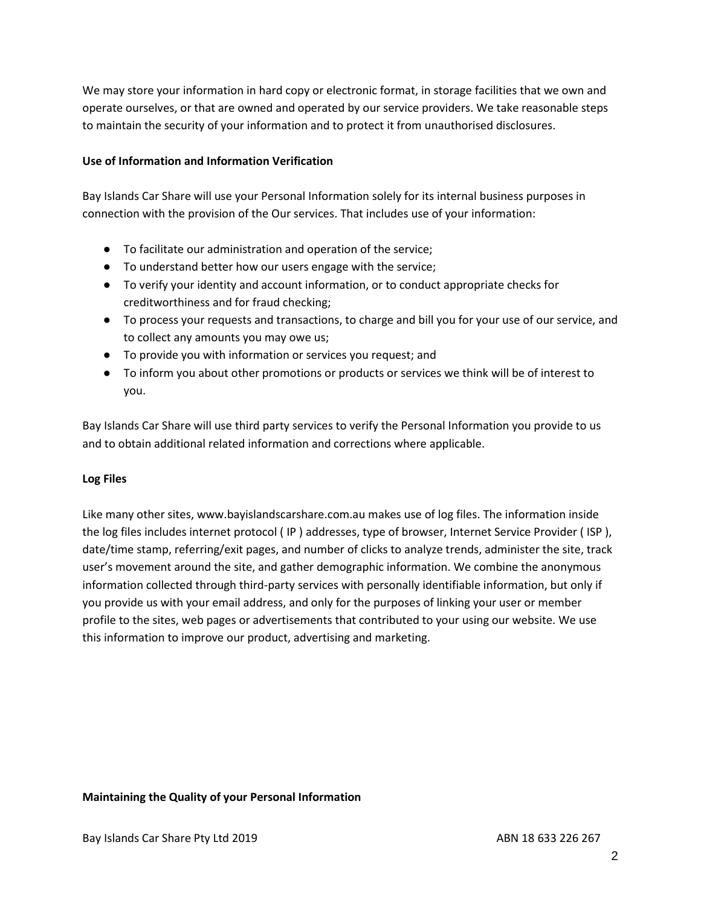We may store your information in hard copy or electronic format, in storage facilities that we own and operate ourselves, or that are owned and operated by our service providers. We take reasonable steps to maintain the security of your information and to protect it from unauthorised disclosures.

#### **Use of Information and Information Verification**

Bay Islands Car Share will use your Personal Information solely for its internal business purposes in connection with the provision of the Our services. That includes use of your information:

- To facilitate our administration and operation of the service;
- To understand better how our users engage with the service;
- To verify your identity and account information, or to conduct appropriate checks for creditworthiness and for fraud checking;
- To process your requests and transactions, to charge and bill you for your use of our service, and to collect any amounts you may owe us;
- To provide you with information or services you request; and
- To inform you about other promotions or products or services we think will be of interest to you.

Bay Islands Car Share will use third party services to verify the Personal Information you provide to us and to obtain additional related information and corrections where applicable.

#### **Log Files**

Like many other sites, www.bayislandscarshare.com.au makes use of log files. The information inside the log files includes internet protocol ( IP ) addresses, type of browser, Internet Service Provider ( ISP ), date/time stamp, referring/exit pages, and number of clicks to analyze trends, administer the site, track user's movement around the site, and gather demographic information. We combine the anonymous information collected through third-party services with personally identifiable information, but only if you provide us with your email address, and only for the purposes of linking your user or member profile to the sites, web pages or advertisements that contributed to your using our website. We use this information to improve our product, advertising and marketing.

#### **Maintaining the Quality of your Personal Information**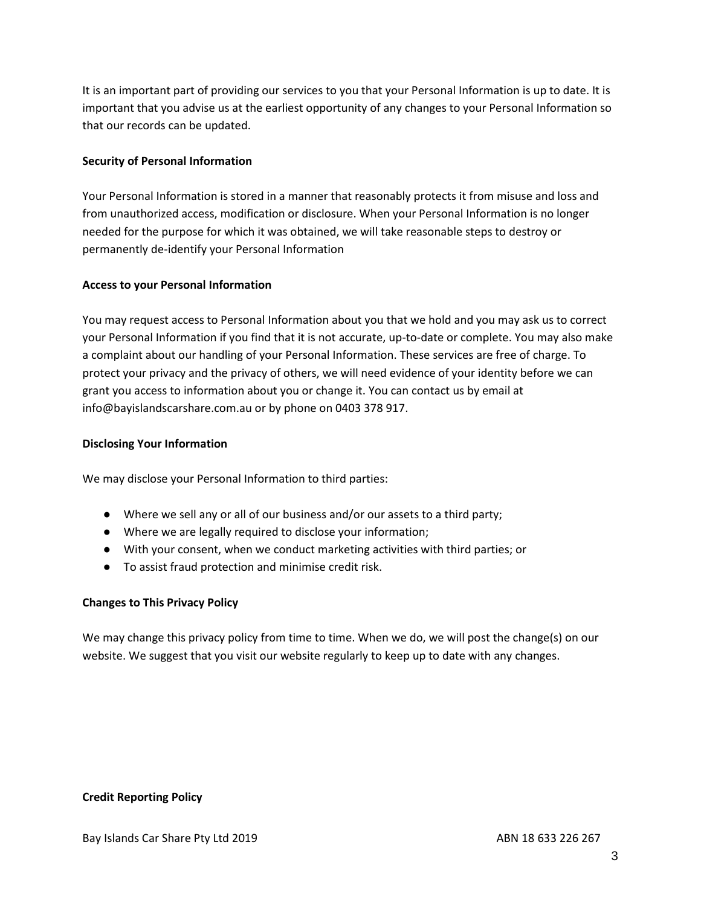It is an important part of providing our services to you that your Personal Information is up to date. It is important that you advise us at the earliest opportunity of any changes to your Personal Information so that our records can be updated.

#### **Security of Personal Information**

Your Personal Information is stored in a manner that reasonably protects it from misuse and loss and from unauthorized access, modification or disclosure. When your Personal Information is no longer needed for the purpose for which it was obtained, we will take reasonable steps to destroy or permanently de-identify your Personal Information

#### **Access to your Personal Information**

You may request access to Personal Information about you that we hold and you may ask us to correct your Personal Information if you find that it is not accurate, up-to-date or complete. You may also make a complaint about our handling of your Personal Information. These services are free of charge. To protect your privacy and the privacy of others, we will need evidence of your identity before we can grant you access to information about you or change it. You can contact us by email at info@bayislandscarshare.com.au or by phone on 0403 378 917.

#### **Disclosing Your Information**

We may disclose your Personal Information to third parties:

- Where we sell any or all of our business and/or our assets to a third party;
- Where we are legally required to disclose your information;
- With your consent, when we conduct marketing activities with third parties; or
- To assist fraud protection and minimise credit risk.

#### **Changes to This Privacy Policy**

We may change this privacy policy from time to time. When we do, we will post the change(s) on our website. We suggest that you visit our website regularly to keep up to date with any changes.

#### **Credit Reporting Policy**